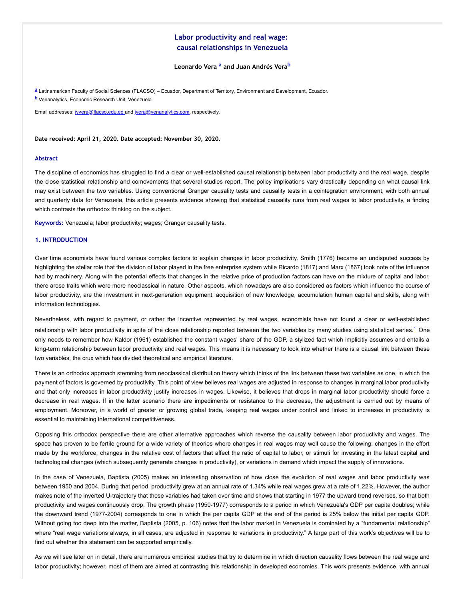# **Labor productivity and real wage: causal relationships in Venezuela**

## <span id="page-0-4"></span><span id="page-0-3"></span><span id="page-0-2"></span>**Leonardo Vera [a](#page-0-0) and Juan Andrés Vera [b](#page-0-1)**

<span id="page-0-1"></span><span id="page-0-0"></span>[a](#page-0-2) Latinamerican Faculty of Social Sciences (FLACSO) – Ecuador, Department of Territory, Environment and Development, Ecuador. <mark>[b](#page-0-3)</mark> Venanalytics, Economic Research Unit, Venezuela

Email addresses: [ivvera@flacso.edu.ed a](mailto:ivvera@flacso.edu.ed)nd [jvera@venanalytics.com](mailto:jvera@venanalytics.com), respectively.

**Date received: April 21, 2020. Date accepted: November 30, 2020.**

#### **Abstract**

The discipline of economics has struggled to find a clear or well-established causal relationship between labor productivity and the real wage, despite the close statistical relationship and comovements that several studies report. The policy implications vary drastically depending on what causal link may exist between the two variables. Using conventional Granger causality tests and causality tests in a cointegration environment, with both annual and quarterly data for Venezuela, this article presents evidence showing that statistical causality runs from real wages to labor productivity, a finding which contrasts the orthodox thinking on the subject.

**Keywords:** Venezuela; labor productivity; wages; Granger causality tests.

### **1. INTRODUCTION**

Over time economists have found various complex factors to explain changes in labor productivity. Smith (1776) became an undisputed success by highlighting the stellar role that the division of labor played in the free enterprise system while Ricardo (1817) and Marx (1867) took note of the influence had by machinery. Along with the potential effects that changes in the relative price of production factors can have on the mixture of capital and labor, there arose traits which were more neoclassical in nature. Other aspects, which nowadays are also considered as factors which influence the course of labor productivity, are the investment in next-generation equipment, acquisition of new knowledge, accumulation human capital and skills, along with information technologies.

Nevertheless, with regard to payment, or rather the incentive represented by real wages, economists have not found a clear or well-established relationship with labor productivity in spite of the close relationship reported between the two variables by many studies using statistical series.<sup>[1](#page-12-0)</sup> One only needs to remember how Kaldor (1961) established the constant wages' share of the GDP, a stylized fact which implicitly assumes and entails a long-term relationship between labor productivity and real wages. This means it is necessary to look into whether there is a causal link between these two variables, the crux which has divided theoretical and empirical literature.

There is an orthodox approach stemming from neoclassical distribution theory which thinks of the link between these two variables as one, in which the payment of factors is governed by productivity. This point of view believes real wages are adjusted in response to changes in marginal labor productivity and that only increases in labor productivity justify increases in wages. Likewise, it believes that drops in marginal labor productivity should force a decrease in real wages. If in the latter scenario there are impediments or resistance to the decrease, the adjustment is carried out by means of employment. Moreover, in a world of greater or growing global trade, keeping real wages under control and linked to increases in productivity is essential to maintaining international competitiveness.

Opposing this orthodox perspective there are other alternative approaches which reverse the causality between labor productivity and wages. The space has proven to be fertile ground for a wide variety of theories where changes in real wages may well cause the following: changes in the effort made by the workforce, changes in the relative cost of factors that affect the ratio of capital to labor, or stimuli for investing in the latest capital and technological changes (which subsequently generate changes in productivity), or variations in demand which impact the supply of innovations.

In the case of Venezuela, Baptista (2005) makes an interesting observation of how close the evolution of real wages and labor productivity was between 1950 and 2004. During that period, productivity grew at an annual rate of 1.34% while real wages grew at a rate of 1.22%. However, the author makes note of the inverted U-trajectory that these variables had taken over time and shows that starting in 1977 the upward trend reverses, so that both productivity and wages continuously drop. The growth phase (1950-1977) corresponds to a period in which Venezuela's GDP per capita doubles; while the downward trend (1977-2004) corresponds to one in which the per capita GDP at the end of the period is 25% below the initial per capita GDP. Without going too deep into the matter, Baptista (2005, p. 106) notes that the labor market in Venezuela is dominated by a "fundamental relationship" where "real wage variations always, in all cases, are adjusted in response to variations in productivity." A large part of this work's objectives will be to find out whether this statement can be supported empirically.

As we will see later on in detail, there are numerous empirical studies that try to determine in which direction causality flows between the real wage and labor productivity; however, most of them are aimed at contrasting this relationship in developed economies. This work presents evidence, with annual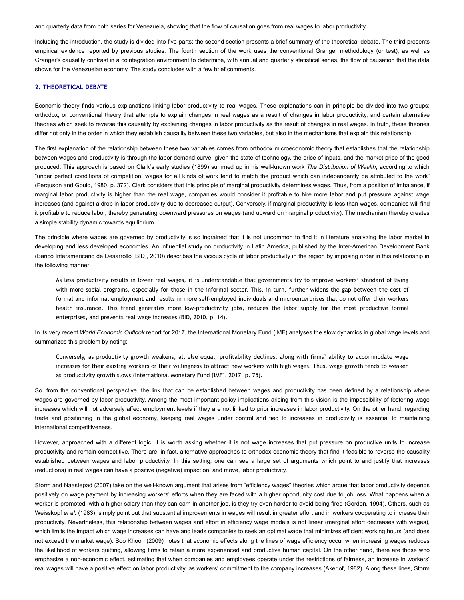and quarterly data from both series for Venezuela, showing that the flow of causation goes from real wages to labor productivity.

Including the introduction, the study is divided into five parts: the second section presents a brief summary of the theoretical debate. The third presents empirical evidence reported by previous studies. The fourth section of the work uses the conventional Granger methodology (or test), as well as Granger's causality contrast in a cointegration environment to determine, with annual and quarterly statistical series, the flow of causation that the data shows for the Venezuelan economy. The study concludes with a few brief comments.

### **2. THEORETICAL DEBATE**

Economic theory finds various explanations linking labor productivity to real wages. These explanations can in principle be divided into two groups: orthodox, or conventional theory that attempts to explain changes in real wages as a result of changes in labor productivity, and certain alternative theories which seek to reverse this causality by explaining changes in labor productivity as the result of changes in real wages. In truth, these theories differ not only in the order in which they establish causality between these two variables, but also in the mechanisms that explain this relationship.

The first explanation of the relationship between these two variables comes from orthodox microeconomic theory that establishes that the relationship between wages and productivity is through the labor demand curve, given the state of technology, the price of inputs, and the market price of the good produced. This approach is based on Clark's early studies (1899) summed up in his well-known work *The Distribution of Wealth*, according to which "under perfect conditions of competition, wages for all kinds of work tend to match the product which can independently be attributed to the work" (Ferguson and Gould, 1980, p. 372). Clark considers that this principle of marginal productivity determines wages. Thus, from a position of imbalance, if marginal labor productivity is higher than the real wage, companies would consider it profitable to hire more labor and put pressure against wage increases (and against a drop in labor productivity due to decreased output). Conversely, if marginal productivity is less than wages, companies will find it profitable to reduce labor, thereby generating downward pressures on wages (and upward on marginal productivity). The mechanism thereby creates a simple stability dynamic towards equilibrium.

The principle where wages are governed by productivity is so ingrained that it is not uncommon to find it in literature analyzing the labor market in developing and less developed economies. An influential study on productivity in Latin America, published by the Inter-American Development Bank (Banco Interamericano de Desarrollo [BID], 2010) describes the vicious cycle of labor productivity in the region by imposing order in this relationship in the following manner:

As less productivity results in lower real wages, it is understandable that governments try to improve workers' standard of living with more social programs, especially for those in the informal sector. This, in turn, further widens the gap between the cost of formal and informal employment and results in more self-employed individuals and microenterprises that do not offer their workers health insurance. This trend generates more low-productivity jobs, reduces the labor supply for the most productive formal enterprises, and prevents real wage increases (BID, 2010, p. 14).

In its very recent *World Economic Outlook* report for 2017, the International Monetary Fund (IMF) analyses the slow dynamics in global wage levels and summarizes this problem by noting:

Conversely, as productivity growth weakens, all else equal, profitability declines, along with firms' ability to accommodate wage increases for their existing workers or their willingness to attract new workers with high wages. Thus, wage growth tends to weaken as productivity growth slows (International Monetary Fund [IMF], 2017, p. 75).

So, from the conventional perspective, the link that can be established between wages and productivity has been defined by a relationship where wages are governed by labor productivity. Among the most important policy implications arising from this vision is the impossibility of fostering wage increases which will not adversely affect employment levels if they are not linked to prior increases in labor productivity. On the other hand, regarding trade and positioning in the global economy, keeping real wages under control and tied to increases in productivity is essential to maintaining international competitiveness.

However, approached with a different logic, it is worth asking whether it is not wage increases that put pressure on productive units to increase productivity and remain competitive. There are, in fact, alternative approaches to orthodox economic theory that find it feasible to reverse the causality established between wages and labor productivity. In this setting, one can see a large set of arguments which point to and justify that increases (reductions) in real wages can have a positive (negative) impact on, and move, labor productivity.

Storm and Naastepad (2007) take on the well-known argument that arises from "efficiency wages" theories which argue that labor productivity depends positively on wage payment by increasing workers' efforts when they are faced with a higher opportunity cost due to job loss. What happens when a worker is promoted, with a higher salary than they can earn in another job, is they try even harder to avoid being fired (Gordon, 1994). Others, such as Weisskopf et al. (1983), simply point out that substantial improvements in wages will result in greater effort and in workers cooperating to increase their productivity. Nevertheless, this relationship between wages and effort in efficiency wage models is not linear (marginal effort decreases with wages), which limits the impact which wage increases can have and leads companies to seek an optimal wage that minimizes efficient working hours (and does not exceed the market wage). Soo Khoon (2009) notes that economic effects along the lines of wage efficiency occur when increasing wages reduces the likelihood of workers quitting, allowing firms to retain a more experienced and productive human capital. On the other hand, there are those who emphasize a non-economic effect, estimating that when companies and employees operate under the restrictions of fairness, an increase in workers' real wages will have a positive effect on labor productivity, as workers' commitment to the company increases (Akerlof, 1982). Along these lines, Storm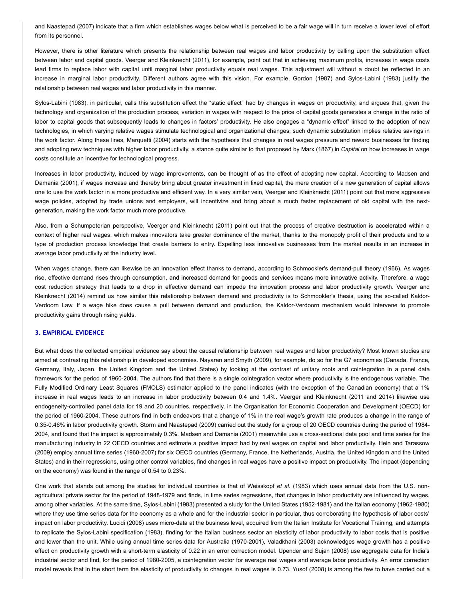and Naastepad (2007) indicate that a firm which establishes wages below what is perceived to be a fair wage will in turn receive a lower level of effort from its personnel.

However, there is other literature which presents the relationship between real wages and labor productivity by calling upon the substitution effect between labor and capital goods. Veerger and Kleinknecht (2011), for example, point out that in achieving maximum profits, increases in wage costs lead firms to replace labor with capital until marginal labor productivity equals real wages. This adjustment will without a doubt be reflected in an increase in marginal labor productivity. Different authors agree with this vision. For example, Gordon (1987) and Sylos-Labini (1983) justify the relationship between real wages and labor productivity in this manner.

Sylos-Labini (1983), in particular, calls this substitution effect the "static effect" had by changes in wages on productivity, and argues that, given the technology and organization of the production process, variation in wages with respect to the price of capital goods generates a change in the ratio of labor to capital goods that subsequently leads to changes in factors' productivity. He also engages a "dynamic effect" linked to the adoption of new technologies, in which varying relative wages stimulate technological and organizational changes; such dynamic substitution implies relative savings in the work factor. Along these lines, Marquetti (2004) starts with the hypothesis that changes in real wages pressure and reward businesses for finding and adopting new techniques with higher labor productivity, a stance quite similar to that proposed by Marx (1867) in *Capital* on how increases in wage costs constitute an incentive for technological progress.

Increases in labor productivity, induced by wage improvements, can be thought of as the effect of adopting new capital. According to Madsen and Damania (2001), if wages increase and thereby bring about greater investment in fixed capital, the mere creation of a new generation of capital allows one to use the work factor in a more productive and efficient way. In a very similar vein, Veerger and Kleinknecht (2011) point out that more aggressive wage policies, adopted by trade unions and employers, will incentivize and bring about a much faster replacement of old capital with the nextgeneration, making the work factor much more productive.

Also, from a Schumpeterian perspective, Veerger and Kleinknecht (2011) point out that the process of creative destruction is accelerated within a context of higher real wages, which makes innovators take greater dominance of the market, thanks to the monopoly profit of their products and to a type of production process knowledge that create barriers to entry. Expelling less innovative businesses from the market results in an increase in average labor productivity at the industry level.

When wages change, there can likewise be an innovation effect thanks to demand, according to Schmookler's demand-pull theory (1966). As wages rise, effective demand rises through consumption, and increased demand for goods and services means more innovative activity. Therefore, a wage cost reduction strategy that leads to a drop in effective demand can impede the innovation process and labor productivity growth. Veerger and Kleinknecht (2014) remind us how similar this relationship between demand and productivity is to Schmookler's thesis, using the so-called Kaldor-Verdoorn Law. If a wage hike does cause a pull between demand and production, the Kaldor-Verdoorn mechanism would intervene to promote productivity gains through rising yields.

## **3. EMPIRICAL EVIDENCE**

But what does the collected empirical evidence say about the causal relationship between real wages and labor productivity? Most known studies are aimed at contrasting this relationship in developed economies. Nayaran and Smyth (2009), for example, do so for the G7 economies (Canada, France, Germany, Italy, Japan, the United Kingdom and the United States) by looking at the contrast of unitary roots and cointegration in a panel data framework for the period of 1960-2004. The authors find that there is a single cointegration vector where productivity is the endogenous variable. The Fully Modified Ordinary Least Squares (FMOLS) estimator applied to the panel indicates (with the exception of the Canadian economy) that a 1% increase in real wages leads to an increase in labor productivity between 0.4 and 1.4%. Veerger and Kleinknecht (2011 and 2014) likewise use endogeneity-controlled panel data for 19 and 20 countries, respectively, in the Organisation for Economic Cooperation and Development (OECD) for the period of 1960-2004. These authors find in both endeavors that a change of 1% in the real wage's growth rate produces a change in the range of 0.35-0.46% in labor productivity growth. Storm and Naastepad (2009) carried out the study for a group of 20 OECD countries during the period of 1984- 2004, and found that the impact is approximately 0.3%. Madsen and Damania (2001) meanwhile use a cross-sectional data pool and time series for the manufacturing industry in 22 OECD countries and estimate a positive impact had by real wages on capital and labor productivity. Hein and Tarassow (2009) employ annual time series (1960-2007) for six OECD countries (Germany, France, the Netherlands, Austria, the United Kingdom and the United States) and in their regressions, using other control variables, find changes in real wages have a positive impact on productivity. The impact (depending on the economy) was found in the range of 0.54 to 0.23%.

One work that stands out among the studies for individual countries is that of Weisskopf *et al.* (1983) which uses annual data from the U.S. nonagricultural private sector for the period of 1948-1979 and finds, in time series regressions, that changes in labor productivity are influenced by wages, among other variables. At the same time, Sylos-Labini (1983) presented a study for the United States (1952-1981) and the Italian economy (1962-1980) where they use time series data for the economy as a whole and for the industrial sector in particular, thus corroborating the hypothesis of labor costs' impact on labor productivity. Lucidi (2008) uses micro-data at the business level, acquired from the Italian Institute for Vocational Training, and attempts to replicate the Sylos-Labini specification (1983), finding for the Italian business sector an elasticity of labor productivity to labor costs that is positive and lower than the unit. While using annual time series data for Australia (1970-2001), Valadkhani (2003) acknowledges wage growth has a positive effect on productivity growth with a short-term elasticity of 0.22 in an error correction model. Upender and Sujan (2008) use aggregate data for India's industrial sector and find, for the period of 1980-2005, a cointegration vector for average real wages and average labor productivity. An error correction model reveals that in the short term the elasticity of productivity to changes in real wages is 0.73. Yusof (2008) is among the few to have carried out a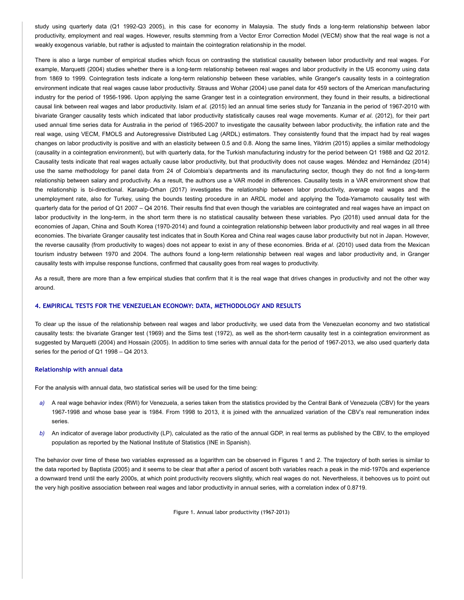study using quarterly data (Q1 1992-Q3 2005), in this case for economy in Malaysia. The study finds a long-term relationship between labor productivity, employment and real wages. However, results stemming from a Vector Error Correction Model (VECM) show that the real wage is not a weakly exogenous variable, but rather is adjusted to maintain the cointegration relationship in the model.

There is also a large number of empirical studies which focus on contrasting the statistical causality between labor productivity and real wages. For example, Marquetti (2004) studies whether there is a long-term relationship between real wages and labor productivity in the US economy using data from 1869 to 1999. Cointegration tests indicate a long-term relationship between these variables, while Granger's causality tests in a cointegration environment indicate that real wages cause labor productivity. Strauss and Wohar (2004) use panel data for 459 sectors of the American manufacturing industry for the period of 1956-1996. Upon applying the same Granger test in a cointegration environment, they found in their results, a bidirectional causal link between real wages and labor productivity. Islam *et al.* (2015) led an annual time series study for Tanzania in the period of 1967-2010 with bivariate Granger causality tests which indicated that labor productivity statistically causes real wage movements. Kumar *et al*. (2012), for their part used annual time series data for Australia in the period of 1965-2007 to investigate the causality between labor productivity, the inflation rate and the real wage, using VECM, FMOLS and Autoregressive Distributed Lag (ARDL) estimators. They consistently found that the impact had by real wages changes on labor productivity is positive and with an elasticity between 0.5 and 0.8. Along the same lines, Yildrim (2015) applies a similar methodology (causality in a cointegration environment), but with quarterly data, for the Turkish manufacturing industry for the period between Q1 1988 and Q2 2012. Causality tests indicate that real wages actually cause labor productivity, but that productivity does not cause wages. Méndez and Hernández (2014) use the same methodology for panel data from 24 of Colombia's departments and its manufacturing sector, though they do not find a long-term relationship between salary and productivity. As a result, the authors use a VAR model in differences. Causality tests in a VAR environment show that the relationship is bi-directional. Karaalp-Orhan (2017) investigates the relationship between labor productivity, average real wages and the unemployment rate, also for Turkey, using the bounds testing procedure in an ARDL model and applying the Toda-Yamamoto causality test with quarterly data for the period of Q1 2007 – Q4 2016. Their results find that even though the variables are cointegrated and real wages have an impact on labor productivity in the long-term, in the short term there is no statistical causality between these variables. Pyo (2018) used annual data for the economies of Japan, China and South Korea (1970-2014) and found a cointegration relationship between labor productivity and real wages in all three economies. The bivariate Granger causality test indicates that in South Korea and China real wages cause labor productivity but not in Japan. However, the reverse causality (from productivity to wages) does not appear to exist in any of these economies. Brida *et al*. (2010) used data from the Mexican tourism industry between 1970 and 2004. The authors found a long-term relationship between real wages and labor productivity and, in Granger causality tests with impulse response functions, confirmed that causality goes from real wages to productivity.

As a result, there are more than a few empirical studies that confirm that it is the real wage that drives changes in productivity and not the other way around.

## **4. EMPIRICAL TESTS FOR THE VENEZUELAN ECONOMY: DATA, METHODOLOGY AND RESULTS**

To clear up the issue of the relationship between real wages and labor productivity, we used data from the Venezuelan economy and two statistical causality tests: the bivariate Granger test (1969) and the Sims test (1972), as well as the short-term causality test in a cointegration environment as suggested by Marquetti (2004) and Hossain (2005). In addition to time series with annual data for the period of 1967-2013, we also used quarterly data series for the period of Q1 1998 – Q4 2013.

#### **Relationship with annual data**

For the analysis with annual data, two statistical series will be used for the time being:

- a) A real wage behavior index (RWI) for Venezuela, a series taken from the statistics provided by the Central Bank of Venezuela (CBV) for the years 1967-1998 and whose base year is 1984. From 1998 to 2013, it is joined with the annualized variation of the CBV's real remuneration index series.
- An indicator of average labor productivity (LP), calculated as the ratio of the annual GDP, in real terms as published by the CBV, to the employed population as reported by the National Institute of Statistics (INE in Spanish). *b)*

The behavior over time of these two variables expressed as a logarithm can be observed in Figures 1 and 2. The trajectory of both series is similar to the data reported by Baptista (2005) and it seems to be clear that after a period of ascent both variables reach a peak in the mid-1970s and experience a downward trend until the early 2000s, at which point productivity recovers slightly, which real wages do not. Nevertheless, it behooves us to point out the very high positive association between real wages and labor productivity in annual series, with a correlation index of 0.8719.

Figure 1. Annual labor productivity (1967-2013)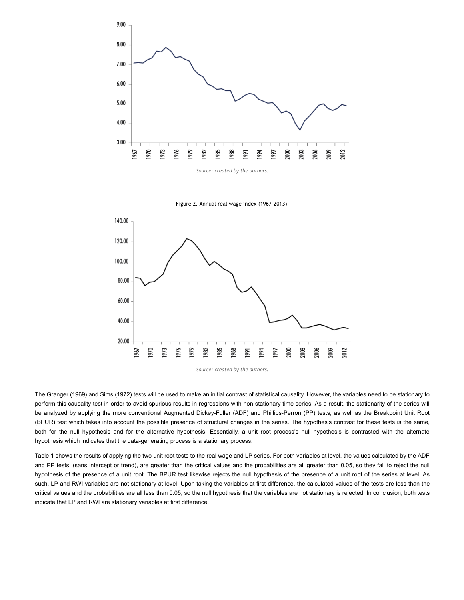

Figure 2. Annual real wage index (1967-2013)



*Source: created by the authors.*

The Granger (1969) and Sims (1972) tests will be used to make an initial contrast of statistical causality. However, the variables need to be stationary to perform this causality test in order to avoid spurious results in regressions with non-stationary time series. As a result, the stationarity of the series will be analyzed by applying the more conventional Augmented Dickey-Fuller (ADF) and Phillips-Perron (PP) tests, as well as the Breakpoint Unit Root (BPUR) test which takes into account the possible presence of structural changes in the series. The hypothesis contrast for these tests is the same, both for the null hypothesis and for the alternative hypothesis. Essentially, a unit root process's null hypothesis is contrasted with the alternate hypothesis which indicates that the data-generating process is a stationary process.

Table 1 shows the results of applying the two unit root tests to the real wage and LP series. For both variables at level, the values calculated by the ADF and PP tests, (sans intercept or trend), are greater than the critical values and the probabilities are all greater than 0.05, so they fail to reject the null hypothesis of the presence of a unit root. The BPUR test likewise rejects the null hypothesis of the presence of a unit root of the series at level. As such, LP and RWI variables are not stationary at level. Upon taking the variables at first difference, the calculated values of the tests are less than the critical values and the probabilities are all less than 0.05, so the null hypothesis that the variables are not stationary is rejected. In conclusion, both tests indicate that LP and RWI are stationary variables at first difference.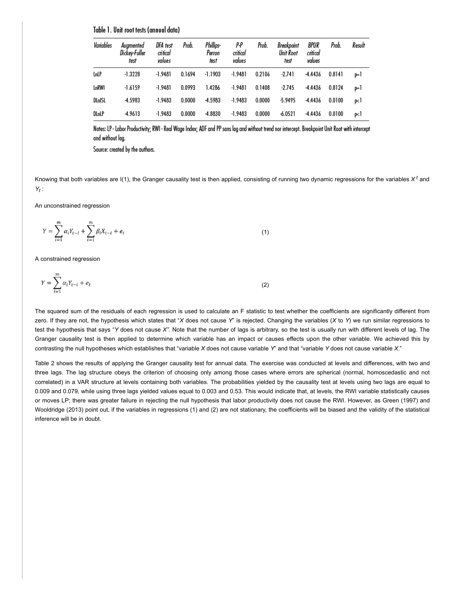Table 1. Unit root tests (annual data)

| Variables   | Augmented<br>Dickey-Fuller<br>test | DFA test<br>critical<br>values | Prob.  | Phillips-<br>Perron<br>test | P-P<br>critical<br>values | Prob.  | Breakpoint<br>Unit Root<br>test | BPUR<br>critical<br>values | Prob.  | Result            |
|-------------|------------------------------------|--------------------------------|--------|-----------------------------|---------------------------|--------|---------------------------------|----------------------------|--------|-------------------|
| <b>LnLP</b> | $-1.3228$                          | -1.9481                        | 0.1694 | $-1.1903$                   | -1.9481                   | 0.2106 | $-2.741$                        | $-4.4436$                  | 0.8141 | ⊫l                |
| LnRWI       | $-1.6159$                          | -1.9481                        | 0.0993 | 1.4286                      | $-1.9481$                 | 0.1408 | $-2.745$                        | $-4.4436$                  | 0.8124 | ⊫l                |
| DLnISL      | $-4.5983$                          | $-1.9483$                      | 0.0000 | $-4.5983$                   | $-1.9483$                 | 0.0000 | $-5.9495$                       | $-4.4436$                  | 0.0100 | p <l< td=""></l<> |
| DLnLP       | $-4.9613$                          | $-1.9483$                      | 0.0000 | $-4.8830$                   | $-1.9483$                 | 0.0000 | $-6.0521$                       | $-4.4436$                  | 0.0100 | p<1               |

Notes: LP - Labor Productivity; RWI - Real Wage Index; ADF and PP sans lag and without trend nor intercept. Breakpoint Unit Root with intercept and without lag.

Source: created by the authors.

Knowing that both variables are I(1), the Granger causality test is then applied, consisting of running two dynamic regressions for the variables *X <sup>t</sup>* and *Yt* :

An unconstrained regression

$$
Y = \sum_{i=1}^{m} \alpha_i Y_{t-i} + \sum_{i=1}^{m} \beta_i X_{t-i} + e_t
$$
 (1)

A constrained regression

$$
Y = \sum_{i=1}^{m} \alpha_i Y_{t-i} + e_t \tag{2}
$$

The squared sum of the residuals of each regression is used to calculate an F statistic to test whether the coefficients are significantly different from zero. If they are not, the hypothesis which states that "*X* does not cause *Y*" is rejected. Changing the variables (*X* to *Y*) we run similar regressions to test the hypothesis that says "*Y* does not cause *X".* Note that the number of lags is arbitrary, so the test is usually run with different levels of lag. The Granger causality test is then applied to determine which variable has an impact or causes effects upon the other variable. We achieved this by contrasting the null hypotheses which establishes that "variable *X* does not cause variable *Y*" and that "variable *Y* does not cause variable *X*."

Table 2 shows the results of applying the Granger causality test for annual data. The exercise was conducted at levels and differences, with two and three lags. The lag structure obeys the criterion of choosing only among those cases where errors are spherical (normal, homoscedastic and not correlated) in a VAR structure at levels containing both variables. The probabilities yielded by the causality test at levels using two lags are equal to 0.009 and 0.079, while using three lags yielded values equal to 0.003 and 0.53. This would indicate that, at levels, the RWI variable statistically causes or moves LP; there was greater failure in rejecting the null hypothesis that labor productivity does not cause the RWI. However, as Green (1997) and Wooldridge (2013) point out, if the variables in regressions (1) and (2) are not stationary, the coefficients will be biased and the validity of the statistical inference will be in doubt.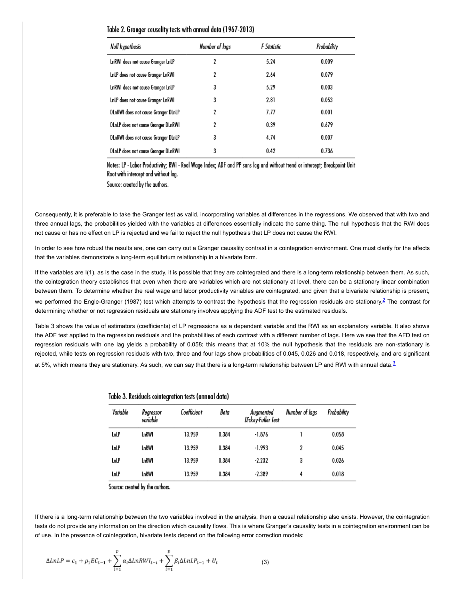| Table 2. Granger causality tests with annual data (1967-2013) |  |  |  |  |  |  |  |  |  |  |  |  |  |  |  |
|---------------------------------------------------------------|--|--|--|--|--|--|--|--|--|--|--|--|--|--|--|
|---------------------------------------------------------------|--|--|--|--|--|--|--|--|--|--|--|--|--|--|--|

| Null hypothesis                     | Number of lags | F Statistic | Probability |
|-------------------------------------|----------------|-------------|-------------|
| LnRWI does not cause Granger LnLP   | 2              | 5.24        | 0.009       |
| LnLP does not cause Granger LnRWI   | 2              | 2.64        | 0.079       |
| LnRWI does not cause Granger LnLP   | 3              | 5.29        | 0.003       |
| LnLP does not cause Granger LnRWI   | 3              | 2.81        | 0.053       |
| DLnRWI does not cause Granger DLnLP | 2              | 7.77        | 0.001       |
| DLnLP does not cause Granger DLnRWI | 2              | 0.39        | 0.679       |
| DLnRWI does not cause Granger DLnLP | 3              | 4.74        | 0.007       |
| DLnLP does not cause Granger DLnRWI | 3              | 0.42        | 0.736       |

Notes: LP - Labor Productivity; RWI - Real Wage Index; ADF and PP sans lag and without trend or intercept; Breakpoint Unit Root with intercept and without lag.

Source: created by the authors.

Consequently, it is preferable to take the Granger test as valid, incorporating variables at differences in the regressions. We observed that with two and three annual lags, the probabilities yielded with the variables at differences essentially indicate the same thing. The null hypothesis that the RWI does not cause or has no effect on LP is rejected and we fail to reject the null hypothesis that LP does not cause the RWI.

In order to see how robust the results are, one can carry out a Granger causality contrast in a cointegration environment. One must clarify for the effects that the variables demonstrate a long-term equilibrium relationship in a bivariate form.

If the variables are I(1), as is the case in the study, it is possible that they are cointegrated and there is a long-term relationship between them. As such, the cointegration theory establishes that even when there are variables which are not stationary at level, there can be a stationary linear combination between them. To determine whether the real wage and labor productivity variables are cointegrated, and given that a bivariate relationship is present, we performed the Engle-Granger (1987) test which attempts to contrast the hypothesis that the regression residuals are stationary.<sup>[2](#page-12-1)</sup> The contrast for determining whether or not regression residuals are stationary involves applying the ADF test to the estimated residuals.

Table 3 shows the value of estimators (coefficients) of LP regressions as a dependent variable and the RWI as an explanatory variable. It also shows the ADF test applied to the regression residuals and the probabilities of each contrast with a different number of lags. Here we see that the AFD test on regression residuals with one lag yields a probability of 0.058; this means that at 10% the null hypothesis that the residuals are non-stationary is rejected, while tests on regression residuals with two, three and four lags show probabilities of 0.045, 0.026 and 0.018, respectively, and are significant at 5%, which means they are stationary. As such, we can say that there is a long-term relationship between LP and RWI with annual data.<sup>[3](#page-12-2)</sup>

| Variable | Regressor<br>variable | Coefficient | Beta  | Augmented<br>Dickey-Fuller Test | Number of lags | Probability |
|----------|-----------------------|-------------|-------|---------------------------------|----------------|-------------|
| LnLP     | LnRWI                 | 13.959      | 0.384 | $-1.876$                        |                | 0.058       |
| LnLP     | LnRWI                 | 13.959      | 0.384 | -1.993                          | 2              | 0.045       |
| LnLP     | LnRWI                 | 13.959      | 0.384 | $-2.232$                        | 3              | 0.026       |
| LnLP     | LnRWI                 | 13.959      | 0.384 | $-2.389$                        | 4              | 0.018       |

<span id="page-6-1"></span><span id="page-6-0"></span>Table 3. Residuals cointegration tests (annual data)

Source: created by the authors.

If there is a long-term relationship between the two variables involved in the analysis, then a causal relationship also exists. However, the cointegration tests do not provide any information on the direction which causality flows. This is where Granger's causality tests in a cointegration environment can be of use. In the presence of cointegration, bivariate tests depend on the following error correction models:

$$
\Delta LnLP = c_1 + \rho_1 EC_{t-1} + \sum_{i=1}^{p} \alpha_i \Delta LnRWI_{t-i} + \sum_{i=1}^{p} \beta_i \Delta LnLP_{t-1} + U_t
$$
\n(3)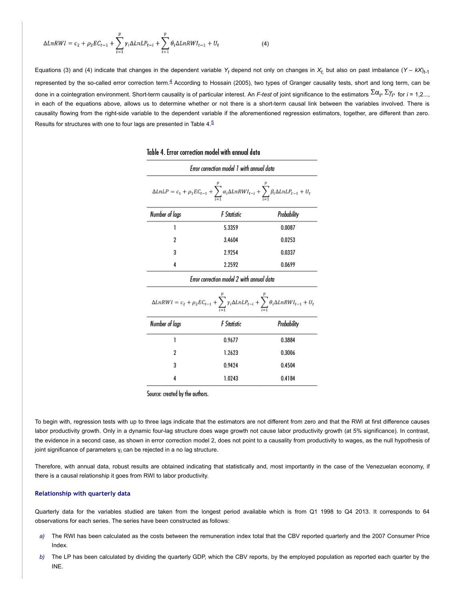$$
\Delta LnRWI = c_2 + \rho_2 EC_{t-1} + \sum_{i=1}^{p} \gamma_i \Delta LnLP_{t-i} + \sum_{i=1}^{p} \theta_i \Delta LnRWI_{t-1} + U_t
$$
\n(4)

Equations (3) and (4) indicate that changes in the dependent variable  $Y_t$  depend not only on changes in  $X_t$  but also on past imbalance  $(Y - kX)_{t-1}$ represented by the so-called error correction term.<sup>[4](#page-12-3)</sup> According to Hossain (2005), two types of Granger causality tests, short and long term, can be done in a cointegration environment. Short-term causality is of particular interest. An *F-test* of joint significance to the estimators  $\Sigma \alpha_i$ ,  $\Sigma \gamma_i$ , for  $i = 1.2....$ in each of the equations above, allows us to determine whether or not there is a short-term causal link between the variables involved. There is causality flowing from the right-side variable to the dependent variable if the aforementioned regression estimators, together, are different than zero. Results for structures with one to four lags are presented in Table 4.[5](#page-12-4)

| Error correction model 1 with annual data                                                                                                             |             |             |  |  |  |  |  |
|-------------------------------------------------------------------------------------------------------------------------------------------------------|-------------|-------------|--|--|--|--|--|
| $\Delta LnLP = c_1 + \rho_1 EC_{t-1} + \sum_{l=1}^{t} \alpha_l \Delta LnRWI_{t-l} + \sum_{l=1}^{t} \beta_l \Delta LnLP_{t-1} + U_t$                   |             |             |  |  |  |  |  |
| Number of lags                                                                                                                                        | F Statistic | Probability |  |  |  |  |  |
| 1                                                                                                                                                     | 5.3359      | 0.0087      |  |  |  |  |  |
| 2                                                                                                                                                     | 3.4604      | 0.0253      |  |  |  |  |  |
| 3                                                                                                                                                     | 2.9254      | 0.0337      |  |  |  |  |  |
| 4                                                                                                                                                     | 2.2592      | 0.0699      |  |  |  |  |  |
| Error correction model 2 with annual data                                                                                                             |             |             |  |  |  |  |  |
| $\Delta L n R W I = c_2 + \rho_2 E C_{t-1} + \sum_{i=1}^{\nu} \gamma_i \Delta L n L P_{t-i} + \sum_{i=1}^{\nu} \theta_i \Delta L n R W I_{t-1} + U_t$ |             |             |  |  |  |  |  |
| Number of lags                                                                                                                                        | F Statistic | Probability |  |  |  |  |  |
| 1                                                                                                                                                     | 0.9677      | 0.3884      |  |  |  |  |  |
| 2                                                                                                                                                     | 1.2623      | 0.3006      |  |  |  |  |  |
| 3                                                                                                                                                     | 0.9424      | 0.4504      |  |  |  |  |  |
| 4                                                                                                                                                     | 1.0243      | 0.4184      |  |  |  |  |  |

# <span id="page-7-1"></span><span id="page-7-0"></span>Table 4. Error correction model with annual data

Source: created by the authors.

To begin with, regression tests with up to three lags indicate that the estimators are not different from zero and that the RWI at first difference causes labor productivity growth. Only in a dynamic four-lag structure does wage growth not cause labor productivity growth (at 5% significance). In contrast, the evidence in a second case, as shown in error correction model 2, does not point to a causality from productivity to wages, as the null hypothesis of joint significance of parameters  $y_i$  can be rejected in a no lag structure.

Therefore, with annual data, robust results are obtained indicating that statistically and, most importantly in the case of the Venezuelan economy, if there is a causal relationship it goes from RWI to labor productivity.

### **Relationship with quarterly data**

Quarterly data for the variables studied are taken from the longest period available which is from Q1 1998 to Q4 2013. It corresponds to 64 observations for each series. The series have been constructed as follows:

- The RWI has been calculated as the costs between the remuneration index total that the CBV reported quarterly and the 2007 Consumer Price Index. *a)*
- The LP has been calculated by dividing the quarterly GDP, which the CBV reports, by the employed population as reported each quarter by the INE. *b)*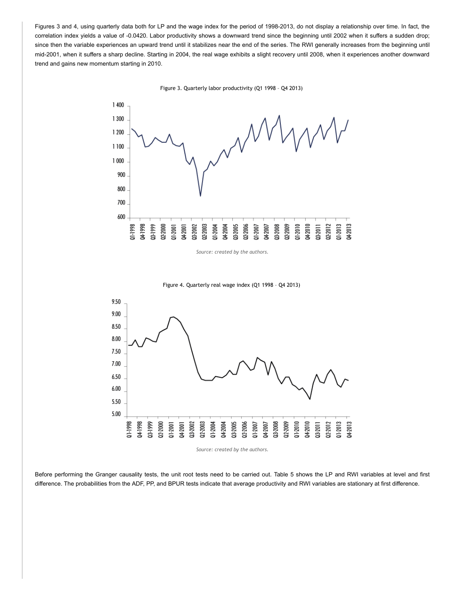Figures 3 and 4, using quarterly data both for LP and the wage index for the period of 1998-2013, do not display a relationship over time. In fact, the correlation index yields a value of -0.0420. Labor productivity shows a downward trend since the beginning until 2002 when it suffers a sudden drop; since then the variable experiences an upward trend until it stabilizes near the end of the series. The RWI generally increases from the beginning until mid-2001, when it suffers a sharp decline. Starting in 2004, the real wage exhibits a slight recovery until 2008, when it experiences another downward trend and gains new momentum starting in 2010.





*Source: created by the authors.*

Figure 4. Quarterly real wage index (Q1 1998 – Q4 2013)



Before performing the Granger causality tests, the unit root tests need to be carried out. Table 5 shows the LP and RWI variables at level and first difference. The probabilities from the ADF, PP, and BPUR tests indicate that average productivity and RWI variables are stationary at first difference.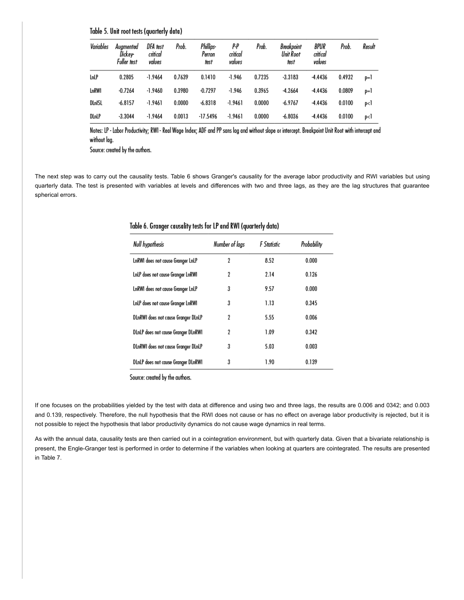# Table 5. Unit root tests (quarterly data)

| Variables   | Augmented<br>Dickey-<br>Fuller test | DFA test<br>critical<br>values | Prob.  | Phillips-<br>Perron<br>test | p.p<br>critical<br>values | Prob.  | Breakpoint<br>Unit Root<br>test | BPUR<br>critical<br>values | Prob.  | Result |
|-------------|-------------------------------------|--------------------------------|--------|-----------------------------|---------------------------|--------|---------------------------------|----------------------------|--------|--------|
| <b>LnLP</b> | 0.2805                              | $-1.9464$                      | 0.7639 | 0.1410                      | $-1.946$                  | 0.7235 | $-3.3183$                       | $-4.4436$                  | 0.4932 | $p=1$  |
| LnRWI       | $-0.7264$                           | $-1.9460$                      | 0.3980 | $-0.7297$                   | $-1.946$                  | 0.3965 | $-4.2664$                       | -4.4436                    | 0.0809 | $p=1$  |
| DLnISL      | $-6.8157$                           | $-1.9461$                      | 0.0000 | $-6.8318$                   | -1.9461                   | 0.0000 | $-6.9767$                       | $-4.4436$                  | 0.0100 | p<1    |
| DLnLP       | $-3.3044$                           | $-1.9464$                      | 0.0013 | -17.5496                    | -1.9461                   | 0.0000 | $-6.8036$                       | $-4.4436$                  | 0.0100 | p<1    |

Notes: LP - Labor Productivity; RWI - Real Wage Index; ADF and PP sans lag and without slope or intercept. Breakpoint Unit Root with intercept and without lag.

Source: created by the authors.

The next step was to carry out the causality tests. Table 6 shows Granger's causality for the average labor productivity and RWI variables but using quarterly data. The test is presented with variables at levels and differences with two and three lags, as they are the lag structures that guarantee spherical errors.

| Null hypothesis                     | Number of lags | <b>F</b> Statistic | Probability |
|-------------------------------------|----------------|--------------------|-------------|
| LnRWI does not cause Granger LnLP   | 2              | 8.52               | 0.000       |
| LnLP does not cause Granger LnRWI   | 2              | 2.14               | 0.126       |
| LnRWI does not cause Granger LnLP   | 3              | 9.57               | 0.000       |
| LnLP does not cause Granger LnRWI   | 3              | 1.13               | 0.345       |
| DLnRWI does not cause Granger DLnLP | 2              | 5.55               | 0.006       |
| DLnLP does not cause Granger DLnRWI | 2              | 1.09               | 0.342       |
| DLnRWI does not cause Granger DLnLP | 3              | 5.03               | 0.003       |
| DLnLP does not cause Granger DLnRWI | 3              | 1.90               | 0.139       |

# Table 6. Granger causality tests for LP and RWI (quarterly data)

Source: created by the authors.

If one focuses on the probabilities yielded by the test with data at difference and using two and three lags, the results are 0.006 and 0342; and 0.003 and 0.139, respectively. Therefore, the null hypothesis that the RWI does not cause or has no effect on average labor productivity is rejected, but it is not possible to reject the hypothesis that labor productivity dynamics do not cause wage dynamics in real terms.

As with the annual data, causality tests are then carried out in a cointegration environment, but with quarterly data. Given that a bivariate relationship is present, the Engle-Granger test is performed in order to determine if the variables when looking at quarters are cointegrated. The results are presented in Table 7.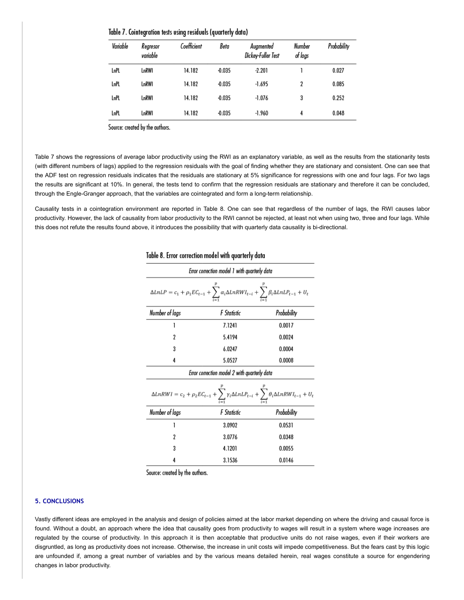| Table 7. Cointegration tests using residuals (quarterly data) |  |  |
|---------------------------------------------------------------|--|--|
|                                                               |  |  |

| Variable | Regresor<br>variable | Coefficient | Beta     | Augmented<br>Dickey-Fuller Test | Number<br>of lags | Probability |
|----------|----------------------|-------------|----------|---------------------------------|-------------------|-------------|
| LnPL     | LnRWI                | 14.182      | $-0.035$ | $-2.201$                        |                   | 0.027       |
| LnPL     | LnRWI                | 14.182      | $-0.035$ | $-1.695$                        | 2                 | 0.085       |
| LnPL     | LnRWI                | 14.182      | $-0.035$ | $-1.076$                        | 3                 | 0.252       |
| LnPL     | LnRWI                | 14.182      | $-0.035$ | $-1.960$                        | 4                 | 0.048       |

Source: created by the authors.

Table 7 shows the regressions of average labor productivity using the RWI as an explanatory variable, as well as the results from the stationarity tests (with different numbers of lags) applied to the regression residuals with the goal of finding whether they are stationary and consistent. One can see that the ADF test on regression residuals indicates that the residuals are stationary at 5% significance for regressions with one and four lags. For two lags the results are significant at 10%. In general, the tests tend to confirm that the regression residuals are stationary and therefore it can be concluded, through the Engle-Granger approach, that the variables are cointegrated and form a long-term relationship.

Causality tests in a cointegration environment are reported in Table 8. One can see that regardless of the number of lags, the RWI causes labor productivity. However, the lack of causality from labor productivity to the RWI cannot be rejected, at least not when using two, three and four lags. While this does not refute the results found above, it introduces the possibility that with quarterly data causality is bi-directional.

| Error correction model 1 with quarterly data                                                                                                      |             |             |  |  |  |  |  |
|---------------------------------------------------------------------------------------------------------------------------------------------------|-------------|-------------|--|--|--|--|--|
| $\Delta LnLP = c_1 + \rho_1 EC_{t-1} + \sum_{i=1}^{n} \alpha_i \Delta LnRWI_{t-i} + \sum_{i=1}^{n} \beta_i \Delta LnLP_{t-1} + U_t$               |             |             |  |  |  |  |  |
| Number of lags                                                                                                                                    | F Statistic | Probability |  |  |  |  |  |
| 1                                                                                                                                                 | 7.1241      | 0.0017      |  |  |  |  |  |
| 2                                                                                                                                                 | 5.4194      | 0.0024      |  |  |  |  |  |
| 3                                                                                                                                                 | 6.0247      | 0.0004      |  |  |  |  |  |
| 4                                                                                                                                                 | 5.0527      | 0.0008      |  |  |  |  |  |
| Error correction model 2 with quarterly data                                                                                                      |             |             |  |  |  |  |  |
| $\Delta L n R W I = c_2 + \rho_2 E C_{t-1} + \sum_{i=1}^{p} \gamma_i \Delta L n L P_{t-i} + \sum_{i=1}^{p} \theta_i \Delta L n R W I_{t-1} + U_t$ |             |             |  |  |  |  |  |
| Number of lags                                                                                                                                    | F Statistic | Probability |  |  |  |  |  |
| 1                                                                                                                                                 | 3.0902      | 0.0531      |  |  |  |  |  |
| 2                                                                                                                                                 | 3.0776      | 0.0348      |  |  |  |  |  |
| 3                                                                                                                                                 | 4.1201      | 0.0055      |  |  |  |  |  |
| 4                                                                                                                                                 | 3.1536      | 0.0146      |  |  |  |  |  |

# Table 8. Error correction model with guarterly data

Source: created by the authors.

## **5. CONCLUSIONS**

Vastly different ideas are employed in the analysis and design of policies aimed at the labor market depending on where the driving and causal force is found. Without a doubt, an approach where the idea that causality goes from productivity to wages will result in a system where wage increases are regulated by the course of productivity. In this approach it is then acceptable that productive units do not raise wages, even if their workers are disgruntled, as long as productivity does not increase. Otherwise, the increase in unit costs will impede competitiveness. But the fears cast by this logic are unfounded if, among a great number of variables and by the various means detailed herein, real wages constitute a source for engendering changes in labor productivity.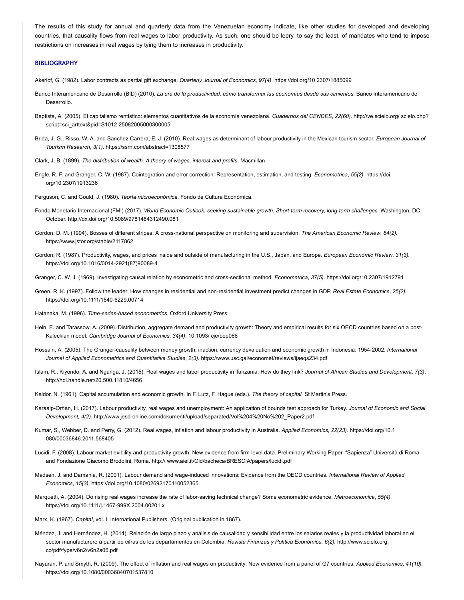The results of this study for annual and quarterly data from the Venezuelan economy indicate, like other studies for developed and developing countries, that causality flows from real wages to labor productivity. As such, one should be leery, to say the least, of mandates who tend to impose restrictions on increases in real wages by tying them to increases in productivity.

#### **BIBLIOGRAPHY**

Akerlof, G. (1982). Labor contracts as partial gift exchange. *Quarterly Journal of Economics*, *97(4).* https://doi.org/10.2307/1885099

- Banco Interamericano de Desarrollo (BID) (2010). *La era de la productividad: cómo transformar las economías desde sus cimientos.* Banco Interamericano de Desarrollo.
- Baptista, A. (2005). El capitalismo rentístico: elementos cuantitativos de la economía venezolana. *Cuadernos del CENDES*, *22(60).* http://ve.scielo.org/ scielo.php? script=sci\_arttext&pid=S1012-25082005000300005
- Brida, J. G., Risso, W. A. and Sanchez Carrera, E. J. (2010). Real wages as determinant of labour productivity in the Mexican tourism sector. *European Journal of Tourism Research*, *3(1).* https://ssrn.com/abstract=1308577
- Clark, J. B. (1899). *The distribution of wealth: A theory of wages, interest and profits*. Macmillan.
- Engle, R. F. and Granger, C. W. (1987). Cointegration and error correction: Representation, estimation, and testing. *Econometrica*, *55(2).* https://doi. org/10.2307/1913236

Ferguson, C. and Gould, J. (1980). *Teoría microeconómica*. Fondo de Cultura Económica.

- Fondo Monetario Internacional (FMI) (2017). *World Economic Outlook*, *seeking sustainable growth: Short-term recovery, long-term challenges.* Washington, DC, October. http://dx.doi.org/10.5089/9781484312490.081
- Gordon, D. M. (1994). Bosses of different stripes: A cross-national perspective on monitoring and supervision. *The American Economic Review*, *84(2).* https://www.jstor.org/stable/2117862
- Gordon, R. (1987). Productivity, wages, and prices inside and outside of manufacturing in the U.S., Japan, and Europe. *European Economic Review*, *31(3).* https://doi.org/10.1016/0014-2921(87)90089-4
- Granger, C. W. J. (1969). Investigating causal relation by econometric and cross-sectional method. *Econometrica*, *37(5).* https://doi.org/10.2307/1912791
- Green, R. K. (1997). Follow the leader: How changes in residential and non-residential investment predict changes in GDP. *Real Estate Economics*, *25(2).* https://doi.org/10.1111/1540-6229.00714
- Hatanaka, M. (1996). *Time-series-based econometrics*. Oxford University Press.
- Hein, E. and Tarassow. A. (2009). Distribution, aggregate demand and productivity growth: Theory and empirical results for six OECD countries based on a post-Kaleckian model. *Cambridge Journal of Economics*, *34(4).* 10.1093/ cje/bep066
- Hossain, A. (2005). The Granger-causality between money growth, inaction, currency devaluation and economic growth in Indonesia: 1954-2002. *International Journal of Applied Econometrics and Quantitative Studies*, *2(3).* https://www.usc.gal/economet/reviews/ijaeqs234.pdf
- Islam, R., Kiyondo, A. and Nganga, J. (2015). Real wages and labor productivity in Tanzania: How do they link? *Journal of African Studies and Development*, *7(3)*. http://hdl.handle.net/20.500.11810/4656
- Kaldor, N. (1961). Capital accumulation and economic growth. In F. Lutz, F. Hague (eds.). *The theory of capital.* St Martin's Press.
- Karaalp-Orhan, H. (2017). Labour productivity, real wages and unemployment: An application of bounds test approach for Turkey. *Journal of Economic and Social Development, 4(2).* http://www.jesd-online.com/dokumenti/upload/separated/Vol%204%20No%202\_Paper2.pdf
- Kumar, S., Webber, D. and Perry, G. (2012). Real wages, inflation and labour productivity in Australia. *Applied Economics*, *22(23).* https://doi.org/10.1 080/00036846.2011.568405
- Lucidi, F. (2008). Labour market exibility and productivity growth: New evidence from firm-level data. Preliminary Working Paper. "Sapienza" Università di Roma and Fondazione Giacomo Brodolini, Roma. http:// www.aiel.it/Old/bacheca/BRESCIA/papers/lucidi.pdf
- Madsen, J. and Damania, R. (2001). Labour demand and wage-induced innovations: Evidence from the OECD countries. *International Review of Applied Economics*, *15(3).* https://doi.org/10.1080/02692170110052365
- Marquetti, A. (2004). Do rising real wages increase the rate of labor‐saving technical change? Some econometric evidence. *Metroeconomica*, *55(4).* https://doi.org/10.1111/j.1467-999X.2004.00201.x
- Marx, K. (1967). *Capital*, vol. I. International Publishers. (Original publication in 1867).
- Méndez, J. and Hernández, H. (2014). Relación de largo plazo y análisis de causalidad y sensibilidad entre los salarios reales y la productividad laboral en el sector manufacturero a partir de cifras de los departamentos en Colombia. *Revista Finanzas y Política Económica*, *6(2).* http://www.scielo.org. co/pdf/fype/v6n2/v6n2a06.pdf
- Nayaran, P. and Smyth, R. (2009). The effect of inflation and real wages on productivity: New evidence from a panel of G7 countries. *Applied Economics*, *41(10).* https://doi.org/10.1080/00036840701537810